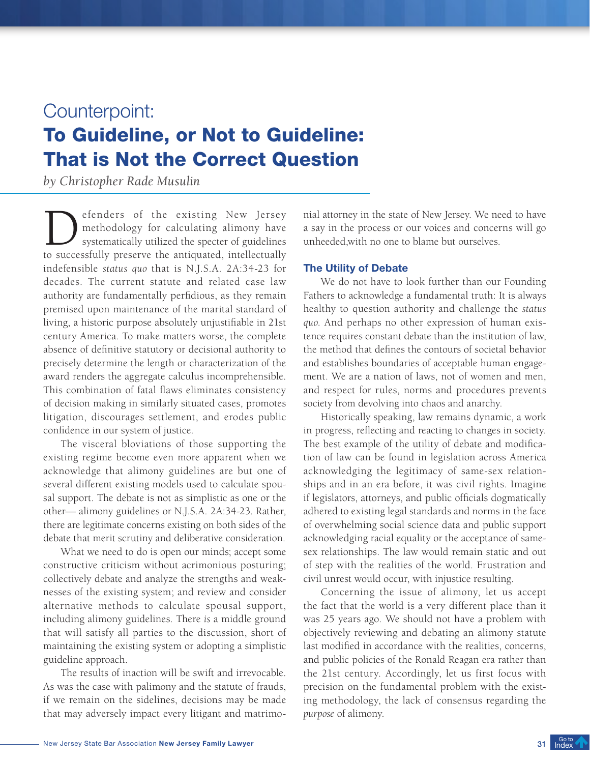# Counterpoint: To Guideline, or Not to Guideline: That is Not the Correct Question

*by Christopher Rade Musulin*

efenders of the existing New Jersey<br>methodology for calculating alimony have<br>systematically utilized the specter of guidelines<br>to successfully preserve the antiquated intellectually methodology for calculating alimony have systematically utilized the specter of guidelines to successfully preserve the antiquated, intellectually indefensible *status quo* that is N.J.S.A. 2A:34-23 for decades. The current statute and related case law authority are fundamentally perfidious, as they remain premised upon maintenance of the marital standard of living, a historic purpose absolutely unjustifiable in 21st century America. To make matters worse, the complete absence of definitive statutory or decisional authority to precisely determine the length or characterization of the award renders the aggregate calculus incomprehensible. This combination of fatal flaws eliminates consistency of decision making in similarly situated cases, promotes litigation, discourages settlement, and erodes public confidence in our system of justice.

The visceral bloviations of those supporting the existing regime become even more apparent when we acknowledge that alimony guidelines are but one of several different existing models used to calculate spousal support. The debate is not as simplistic as one or the other— alimony guidelines or N.J.S.A. 2A:34-23. Rather, there are legitimate concerns existing on both sides of the debate that merit scrutiny and deliberative consideration.

What we need to do is open our minds; accept some constructive criticism without acrimonious posturing; collectively debate and analyze the strengths and weaknesses of the existing system; and review and consider alternative methods to calculate spousal support, including alimony guidelines. There *is* a middle ground that will satisfy all parties to the discussion, short of maintaining the existing system or adopting a simplistic guideline approach.

The results of inaction will be swift and irrevocable. As was the case with palimony and the statute of frauds, if we remain on the sidelines, decisions may be made that may adversely impact every litigant and matrimonial attorney in the state of New Jersey. We need to have a say in the process or our voices and concerns will go unheeded,with no one to blame but ourselves.

## The Utility of Debate

We do not have to look further than our Founding Fathers to acknowledge a fundamental truth: It is always healthy to question authority and challenge the *status quo*. And perhaps no other expression of human existence requires constant debate than the institution of law, the method that defines the contours of societal behavior and establishes boundaries of acceptable human engagement. We are a nation of laws, not of women and men, and respect for rules, norms and procedures prevents society from devolving into chaos and anarchy.

Historically speaking, law remains dynamic, a work in progress, reflecting and reacting to changes in society. The best example of the utility of debate and modification of law can be found in legislation across America acknowledging the legitimacy of same-sex relationships and in an era before, it was civil rights. Imagine if legislators, attorneys, and public officials dogmatically adhered to existing legal standards and norms in the face of overwhelming social science data and public support acknowledging racial equality or the acceptance of samesex relationships. The law would remain static and out of step with the realities of the world. Frustration and civil unrest would occur, with injustice resulting.

Concerning the issue of alimony, let us accept the fact that the world is a very different place than it was 25 years ago. We should not have a problem with objectively reviewing and debating an alimony statute last modified in accordance with the realities, concerns, and public policies of the Ronald Reagan era rather than the 21st century. Accordingly, let us first focus with precision on the fundamental problem with the existing methodology, the lack of consensus regarding the *purpose* of alimony.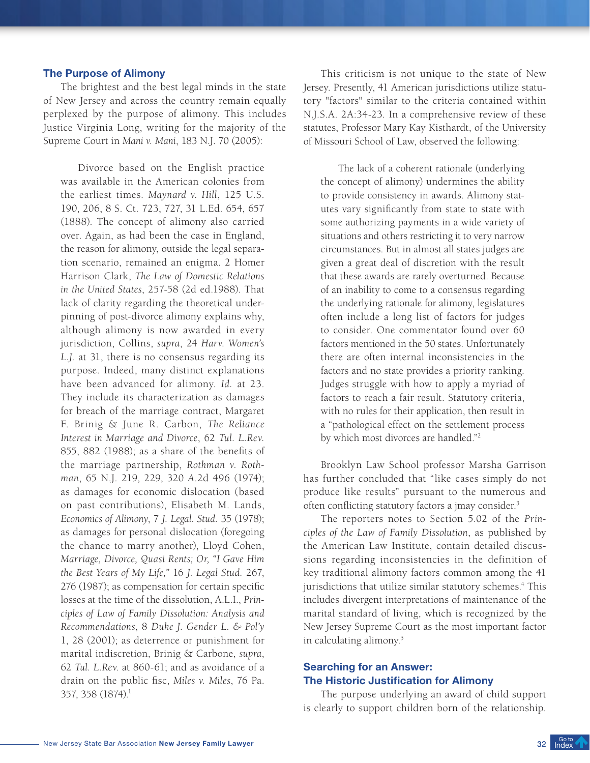#### The Purpose of Alimony

The brightest and the best legal minds in the state of New Jersey and across the country remain equally perplexed by the purpose of alimony. This includes Justice Virginia Long, writing for the majority of the Supreme Court in *Mani v. Mani*, 183 N.J. 70 (2005):

Divorce based on the English practice was available in the American colonies from the earliest times. *Maynard v. Hill*, 125 U.S. 190, 206, 8 S. Ct. 723, 727, 31 L.Ed. 654, 657 (1888). The concept of alimony also carried over. Again, as had been the case in England, the reason for alimony, outside the legal separation scenario, remained an enigma. 2 Homer Harrison Clark, *The Law of Domestic Relations in the United States*, 257-58 (2d ed.1988). That lack of clarity regarding the theoretical underpinning of post-divorce alimony explains why, although alimony is now awarded in every jurisdiction, Collins, *supra*, 24 *Harv. Women's L.J*. at 31, there is no consensus regarding its purpose. Indeed, many distinct explanations have been advanced for alimony. *Id.* at 23. They include its characterization as damages for breach of the marriage contract, Margaret F. Brinig & June R. Carbon, *The Reliance Interest in Marriage and Divorce*, 62 *Tul. L.Rev.* 855, 882 (1988); as a share of the benefits of the marriage partnership, *Rothman v. Rothman*, 65 N.J. 219, 229, 320 *A*.2d 496 (1974); as damages for economic dislocation (based on past contributions), Elisabeth M. Lands, *Economics of Alimony*, 7 *J. Legal. Stud.* 35 (1978); as damages for personal dislocation (foregoing the chance to marry another), Lloyd Cohen, *Marriage, Divorce, Quasi Rents; Or, "I Gave Him the Best Years of My Life,"* 16 *J. Legal Stud.* 267, 276 (1987); as compensation for certain specific losses at the time of the dissolution, A.L.I., *Principles of Law of Family Dissolution: Analysis and Recommendations*, 8 *Duke J. Gender L. & Pol'y*  1, 28 (2001); as deterrence or punishment for marital indiscretion, Brinig & Carbone, *supra*, 62 *Tul. L.Rev*. at 860-61; and as avoidance of a drain on the public fisc, *Miles v. Miles*, 76 Pa. 357, 358 (1874).1

This criticism is not unique to the state of New Jersey. Presently, 41 American jurisdictions utilize statutory "factors" similar to the criteria contained within N.J.S.A. 2A:34-23. In a comprehensive review of these statutes, Professor Mary Kay Kisthardt, of the University of Missouri School of Law, observed the following:

The lack of a coherent rationale (underlying the concept of alimony) undermines the ability to provide consistency in awards. Alimony statutes vary significantly from state to state with some authorizing payments in a wide variety of situations and others restricting it to very narrow circumstances. But in almost all states judges are given a great deal of discretion with the result that these awards are rarely overturned. Because of an inability to come to a consensus regarding the underlying rationale for alimony, legislatures often include a long list of factors for judges to consider. One commentator found over 60 factors mentioned in the 50 states. Unfortunately there are often internal inconsistencies in the factors and no state provides a priority ranking. Judges struggle with how to apply a myriad of factors to reach a fair result. Statutory criteria, with no rules for their application, then result in a "pathological effect on the settlement process by which most divorces are handled."2

Brooklyn Law School professor Marsha Garrison has further concluded that "like cases simply do not produce like results" pursuant to the numerous and often conflicting statutory factors a jmay consider.<sup>3</sup>

The reporters notes to Section 5.02 of the *Principles of the Law of Family Dissolution*, as published by the American Law Institute, contain detailed discussions regarding inconsistencies in the definition of key traditional alimony factors common among the 41 jurisdictions that utilize similar statutory schemes.<sup>4</sup> This includes divergent interpretations of maintenance of the marital standard of living, which is recognized by the New Jersey Supreme Court as the most important factor in calculating alimony.5

# Searching for an Answer: The Historic Justification for Alimony

The purpose underlying an award of child support is clearly to support children born of the relationship.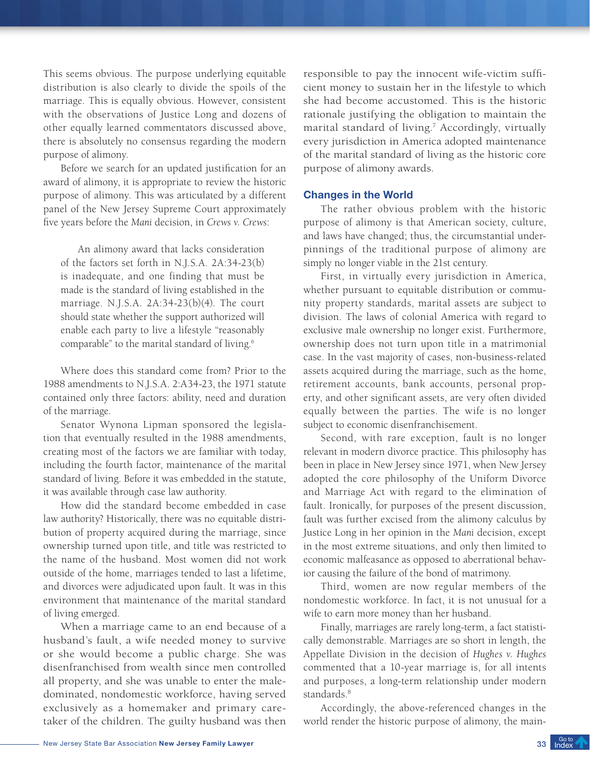This seems obvious. The purpose underlying equitable distribution is also clearly to divide the spoils of the marriage. This is equally obvious. However, consistent with the observations of Justice Long and dozens of other equally learned commentators discussed above, there is absolutely no consensus regarding the modern purpose of alimony.

Before we search for an updated justification for an award of alimony, it is appropriate to review the historic purpose of alimony. This was articulated by a different panel of the New Jersey Supreme Court approximately five years before the *Mani* decision, in *Crews v. Crews*:

An alimony award that lacks consideration of the factors set forth in N.J.S.A. 2A:34-23(b) is inadequate, and one finding that must be made is the standard of living established in the marriage. N.J.S.A. 2A:34-23(b)(4). The court should state whether the support authorized will enable each party to live a lifestyle "reasonably comparable" to the marital standard of living.<sup>6</sup>

Where does this standard come from? Prior to the 1988 amendments to N.J.S.A. 2:A34-23, the 1971 statute contained only three factors: ability, need and duration of the marriage.

Senator Wynona Lipman sponsored the legislation that eventually resulted in the 1988 amendments, creating most of the factors we are familiar with today, including the fourth factor, maintenance of the marital standard of living. Before it was embedded in the statute, it was available through case law authority.

How did the standard become embedded in case law authority? Historically, there was no equitable distribution of property acquired during the marriage, since ownership turned upon title, and title was restricted to the name of the husband. Most women did not work outside of the home, marriages tended to last a lifetime, and divorces were adjudicated upon fault. It was in this environment that maintenance of the marital standard of living emerged.

When a marriage came to an end because of a husband's fault, a wife needed money to survive or she would become a public charge. She was disenfranchised from wealth since men controlled all property, and she was unable to enter the maledominated, nondomestic workforce, having served exclusively as a homemaker and primary caretaker of the children. The guilty husband was then

responsible to pay the innocent wife-victim sufficient money to sustain her in the lifestyle to which she had become accustomed. This is the historic rationale justifying the obligation to maintain the marital standard of living.7 Accordingly, virtually every jurisdiction in America adopted maintenance of the marital standard of living as the historic core purpose of alimony awards.

#### Changes in the World

The rather obvious problem with the historic purpose of alimony is that American society, culture, and laws have changed; thus, the circumstantial underpinnings of the traditional purpose of alimony are simply no longer viable in the 21st century.

First, in virtually every jurisdiction in America, whether pursuant to equitable distribution or community property standards, marital assets are subject to division. The laws of colonial America with regard to exclusive male ownership no longer exist. Furthermore, ownership does not turn upon title in a matrimonial case. In the vast majority of cases, non-business-related assets acquired during the marriage, such as the home, retirement accounts, bank accounts, personal property, and other significant assets, are very often divided equally between the parties. The wife is no longer subject to economic disenfranchisement.

Second, with rare exception, fault is no longer relevant in modern divorce practice. This philosophy has been in place in New Jersey since 1971, when New Jersey adopted the core philosophy of the Uniform Divorce and Marriage Act with regard to the elimination of fault. Ironically, for purposes of the present discussion, fault was further excised from the alimony calculus by Justice Long in her opinion in the *Mani* decision, except in the most extreme situations, and only then limited to economic malfeasance as opposed to aberrational behavior causing the failure of the bond of matrimony.

Third, women are now regular members of the nondomestic workforce. In fact, it is not unusual for a wife to earn more money than her husband.

Finally, marriages are rarely long-term, a fact statistically demonstrable. Marriages are so short in length, the Appellate Division in the decision of *Hughes v. Hughes* commented that a 10-year marriage is, for all intents and purposes, a long-term relationship under modern standards.<sup>8</sup>

Accordingly, the above-referenced changes in the world render the historic purpose of alimony, the main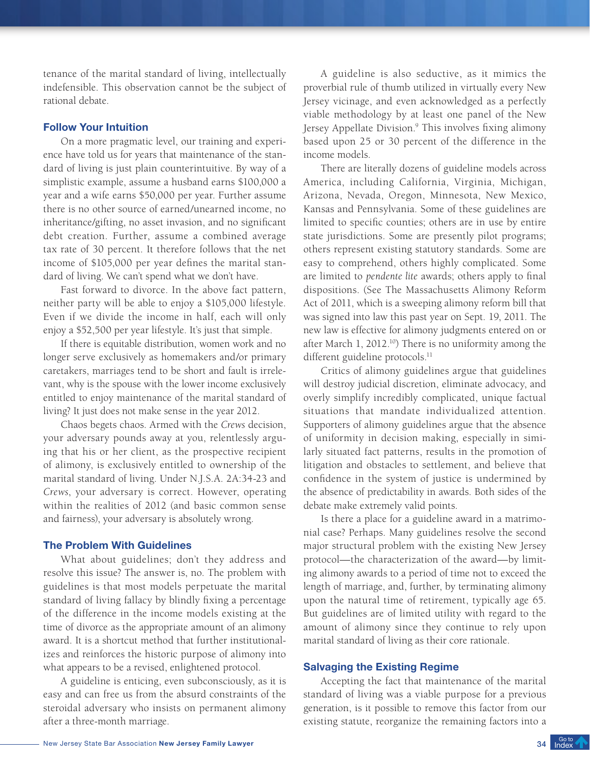tenance of the marital standard of living, intellectually indefensible. This observation cannot be the subject of rational debate.

# Follow Your Intuition

On a more pragmatic level, our training and experience have told us for years that maintenance of the standard of living is just plain counterintuitive. By way of a simplistic example, assume a husband earns \$100,000 a year and a wife earns \$50,000 per year. Further assume there is no other source of earned/unearned income, no inheritance/gifting, no asset invasion, and no significant debt creation. Further, assume a combined average tax rate of 30 percent. It therefore follows that the net income of \$105,000 per year defines the marital standard of living. We can't spend what we don't have.

Fast forward to divorce. In the above fact pattern, neither party will be able to enjoy a \$105,000 lifestyle. Even if we divide the income in half, each will only enjoy a \$52,500 per year lifestyle. It's just that simple.

If there is equitable distribution, women work and no longer serve exclusively as homemakers and/or primary caretakers, marriages tend to be short and fault is irrelevant, why is the spouse with the lower income exclusively entitled to enjoy maintenance of the marital standard of living? It just does not make sense in the year 2012.

Chaos begets chaos. Armed with the *Crews* decision, your adversary pounds away at you, relentlessly arguing that his or her client, as the prospective recipient of alimony, is exclusively entitled to ownership of the marital standard of living. Under N.J.S.A. 2A:34-23 and *Crews*, your adversary is correct. However, operating within the realities of 2012 (and basic common sense and fairness), your adversary is absolutely wrong.

# The Problem With Guidelines

What about guidelines; don't they address and resolve this issue? The answer is, no. The problem with guidelines is that most models perpetuate the marital standard of living fallacy by blindly fixing a percentage of the difference in the income models existing at the time of divorce as the appropriate amount of an alimony award. It is a shortcut method that further institutionalizes and reinforces the historic purpose of alimony into what appears to be a revised, enlightened protocol.

A guideline is enticing, even subconsciously, as it is easy and can free us from the absurd constraints of the steroidal adversary who insists on permanent alimony after a three-month marriage.

A guideline is also seductive, as it mimics the proverbial rule of thumb utilized in virtually every New Jersey vicinage, and even acknowledged as a perfectly viable methodology by at least one panel of the New Jersey Appellate Division.<sup>9</sup> This involves fixing alimony based upon 25 or 30 percent of the difference in the income models.

There are literally dozens of guideline models across America, including California, Virginia, Michigan, Arizona, Nevada, Oregon, Minnesota, New Mexico, Kansas and Pennsylvania. Some of these guidelines are limited to specific counties; others are in use by entire state jurisdictions. Some are presently pilot programs; others represent existing statutory standards. Some are easy to comprehend, others highly complicated. Some are limited to *pendente lite* awards; others apply to final dispositions. (See The Massachusetts Alimony Reform Act of 2011, which is a sweeping alimony reform bill that was signed into law this past year on Sept. 19, 2011. The new law is effective for alimony judgments entered on or after March 1, 2012.<sup>10</sup>) There is no uniformity among the different guideline protocols.<sup>11</sup>

Critics of alimony guidelines argue that guidelines will destroy judicial discretion, eliminate advocacy, and overly simplify incredibly complicated, unique factual situations that mandate individualized attention. Supporters of alimony guidelines argue that the absence of uniformity in decision making, especially in similarly situated fact patterns, results in the promotion of litigation and obstacles to settlement, and believe that confidence in the system of justice is undermined by the absence of predictability in awards. Both sides of the debate make extremely valid points.

Is there a place for a guideline award in a matrimonial case? Perhaps. Many guidelines resolve the second major structural problem with the existing New Jersey protocol—the characterization of the award—by limiting alimony awards to a period of time not to exceed the length of marriage, and, further, by terminating alimony upon the natural time of retirement, typically age 65. But guidelines are of limited utility with regard to the amount of alimony since they continue to rely upon marital standard of living as their core rationale.

#### Salvaging the Existing Regime

Accepting the fact that maintenance of the marital standard of living was a viable purpose for a previous generation, is it possible to remove this factor from our existing statute, reorganize the remaining factors into a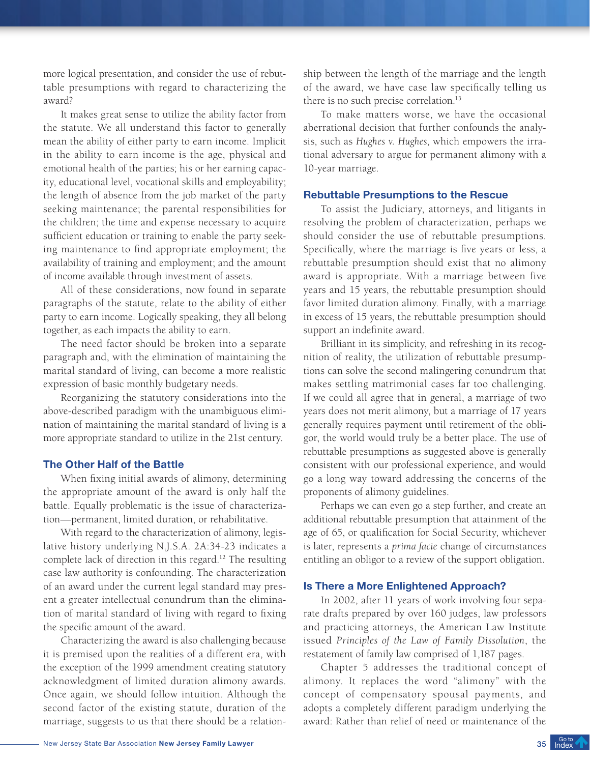more logical presentation, and consider the use of rebuttable presumptions with regard to characterizing the award?

It makes great sense to utilize the ability factor from the statute. We all understand this factor to generally mean the ability of either party to earn income. Implicit in the ability to earn income is the age, physical and emotional health of the parties; his or her earning capacity, educational level, vocational skills and employability; the length of absence from the job market of the party seeking maintenance; the parental responsibilities for the children; the time and expense necessary to acquire sufficient education or training to enable the party seeking maintenance to find appropriate employment; the availability of training and employment; and the amount of income available through investment of assets.

All of these considerations, now found in separate paragraphs of the statute, relate to the ability of either party to earn income. Logically speaking, they all belong together, as each impacts the ability to earn.

The need factor should be broken into a separate paragraph and, with the elimination of maintaining the marital standard of living, can become a more realistic expression of basic monthly budgetary needs.

Reorganizing the statutory considerations into the above-described paradigm with the unambiguous elimination of maintaining the marital standard of living is a more appropriate standard to utilize in the 21st century.

#### The Other Half of the Battle

When fixing initial awards of alimony, determining the appropriate amount of the award is only half the battle. Equally problematic is the issue of characterization—permanent, limited duration, or rehabilitative.

With regard to the characterization of alimony, legislative history underlying N.J.S.A. 2A:34-23 indicates a complete lack of direction in this regard.<sup>12</sup> The resulting case law authority is confounding. The characterization of an award under the current legal standard may present a greater intellectual conundrum than the elimination of marital standard of living with regard to fixing the specific amount of the award.

Characterizing the award is also challenging because it is premised upon the realities of a different era, with the exception of the 1999 amendment creating statutory acknowledgment of limited duration alimony awards. Once again, we should follow intuition. Although the second factor of the existing statute, duration of the marriage, suggests to us that there should be a relationship between the length of the marriage and the length of the award, we have case law specifically telling us there is no such precise correlation.<sup>13</sup>

To make matters worse, we have the occasional aberrational decision that further confounds the analysis, such as *Hughes v. Hughes*, which empowers the irrational adversary to argue for permanent alimony with a 10-year marriage.

#### Rebuttable Presumptions to the Rescue

To assist the Judiciary, attorneys, and litigants in resolving the problem of characterization, perhaps we should consider the use of rebuttable presumptions. Specifically, where the marriage is five years or less, a rebuttable presumption should exist that no alimony award is appropriate. With a marriage between five years and 15 years, the rebuttable presumption should favor limited duration alimony. Finally, with a marriage in excess of 15 years, the rebuttable presumption should support an indefinite award.

Brilliant in its simplicity, and refreshing in its recognition of reality, the utilization of rebuttable presumptions can solve the second malingering conundrum that makes settling matrimonial cases far too challenging. If we could all agree that in general, a marriage of two years does not merit alimony, but a marriage of 17 years generally requires payment until retirement of the obligor, the world would truly be a better place. The use of rebuttable presumptions as suggested above is generally consistent with our professional experience, and would go a long way toward addressing the concerns of the proponents of alimony guidelines.

Perhaps we can even go a step further, and create an additional rebuttable presumption that attainment of the age of 65, or qualification for Social Security, whichever is later, represents a *prima facie* change of circumstances entitling an obligor to a review of the support obligation.

#### Is There a More Enlightened Approach?

In 2002, after 11 years of work involving four separate drafts prepared by over 160 judges, law professors and practicing attorneys, the American Law Institute issued *Principles of the Law of Family Dissolution*, the restatement of family law comprised of 1,187 pages.

Chapter 5 addresses the traditional concept of alimony. It replaces the word "alimony" with the concept of compensatory spousal payments, and adopts a completely different paradigm underlying the award: Rather than relief of need or maintenance of the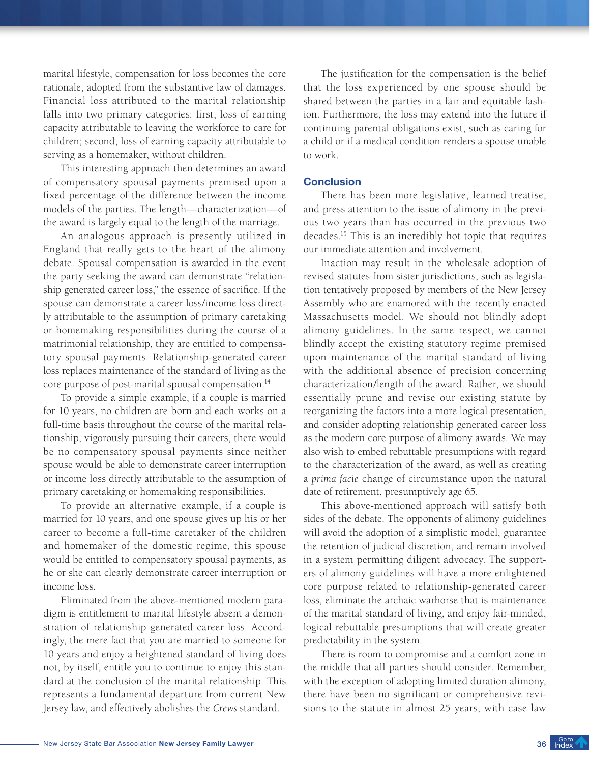marital lifestyle, compensation for loss becomes the core rationale, adopted from the substantive law of damages. Financial loss attributed to the marital relationship falls into two primary categories: first, loss of earning capacity attributable to leaving the workforce to care for children; second, loss of earning capacity attributable to serving as a homemaker, without children.

This interesting approach then determines an award of compensatory spousal payments premised upon a fixed percentage of the difference between the income models of the parties. The length—characterization—of the award is largely equal to the length of the marriage.

An analogous approach is presently utilized in England that really gets to the heart of the alimony debate. Spousal compensation is awarded in the event the party seeking the award can demonstrate "relationship generated career loss," the essence of sacrifice. If the spouse can demonstrate a career loss/income loss directly attributable to the assumption of primary caretaking or homemaking responsibilities during the course of a matrimonial relationship, they are entitled to compensatory spousal payments. Relationship-generated career loss replaces maintenance of the standard of living as the core purpose of post-marital spousal compensation.<sup>14</sup>

To provide a simple example, if a couple is married for 10 years, no children are born and each works on a full-time basis throughout the course of the marital relationship, vigorously pursuing their careers, there would be no compensatory spousal payments since neither spouse would be able to demonstrate career interruption or income loss directly attributable to the assumption of primary caretaking or homemaking responsibilities.

To provide an alternative example, if a couple is married for 10 years, and one spouse gives up his or her career to become a full-time caretaker of the children and homemaker of the domestic regime, this spouse would be entitled to compensatory spousal payments, as he or she can clearly demonstrate career interruption or income loss.

Eliminated from the above-mentioned modern paradigm is entitlement to marital lifestyle absent a demonstration of relationship generated career loss. Accordingly, the mere fact that you are married to someone for 10 years and enjoy a heightened standard of living does not, by itself, entitle you to continue to enjoy this standard at the conclusion of the marital relationship. This represents a fundamental departure from current New Jersey law, and effectively abolishes the *Crews* standard.

The justification for the compensation is the belief that the loss experienced by one spouse should be shared between the parties in a fair and equitable fashion. Furthermore, the loss may extend into the future if continuing parental obligations exist, such as caring for a child or if a medical condition renders a spouse unable to work.

# **Conclusion**

There has been more legislative, learned treatise, and press attention to the issue of alimony in the previous two years than has occurred in the previous two decades.15 This is an incredibly hot topic that requires our immediate attention and involvement.

Inaction may result in the wholesale adoption of revised statutes from sister jurisdictions, such as legislation tentatively proposed by members of the New Jersey Assembly who are enamored with the recently enacted Massachusetts model. We should not blindly adopt alimony guidelines. In the same respect, we cannot blindly accept the existing statutory regime premised upon maintenance of the marital standard of living with the additional absence of precision concerning characterization/length of the award. Rather, we should essentially prune and revise our existing statute by reorganizing the factors into a more logical presentation, and consider adopting relationship generated career loss as the modern core purpose of alimony awards. We may also wish to embed rebuttable presumptions with regard to the characterization of the award, as well as creating a *prima facie* change of circumstance upon the natural date of retirement, presumptively age 65.

This above-mentioned approach will satisfy both sides of the debate. The opponents of alimony guidelines will avoid the adoption of a simplistic model, guarantee the retention of judicial discretion, and remain involved in a system permitting diligent advocacy. The supporters of alimony guidelines will have a more enlightened core purpose related to relationship-generated career loss, eliminate the archaic warhorse that is maintenance of the marital standard of living, and enjoy fair-minded, logical rebuttable presumptions that will create greater predictability in the system.

There is room to compromise and a comfort zone in the middle that all parties should consider. Remember, with the exception of adopting limited duration alimony, there have been no significant or comprehensive revisions to the statute in almost 25 years, with case law